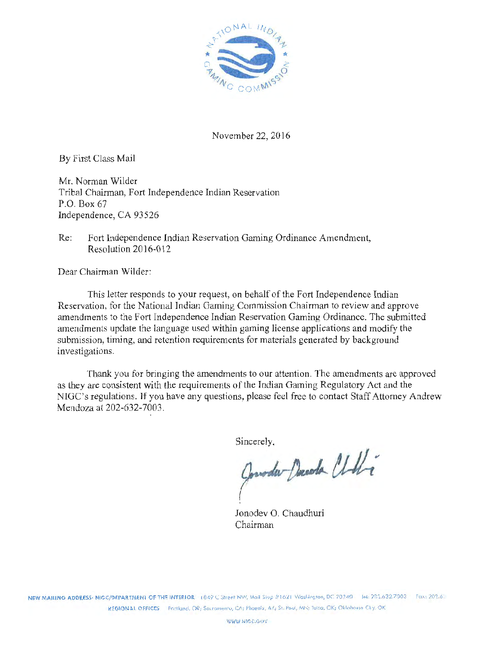

November 22, 2016

By First Class Mail

Mr. Norman Wilder Tribal Chainnan, Fort Independence Indian Reservation P.O. Box 67 Independence, CA 93526

Re: Fort Independence Indian Reservation Gaming Ordinance Amendment, Resolution 2016-012

Dear Chairman Wilder:

This letter responds to your request, on behalf of the Fort Independence Indian Reservation, for the National Indian Gaming Commission Chairman to review and approve amendments to the Fort Independence Indian Reservation Gaming Ordinance. The submitted amendments update the language used within gaming license applications and modify the submission, timing, and retention requirements for materials generated by background investigations.

Thank you for bringing the amendments to our attention. The amendments are approved as they are consistent with the requirements of the Indian Gaming Regulatory Act and the NIGC's regulations. If you have any questions, please feel free to contact Staff Attorney Andrew Mendoza at 202-632-7003.

Sincerely.

Consta Decede Chilli

Jonodev 0. Chaudhuri Chairman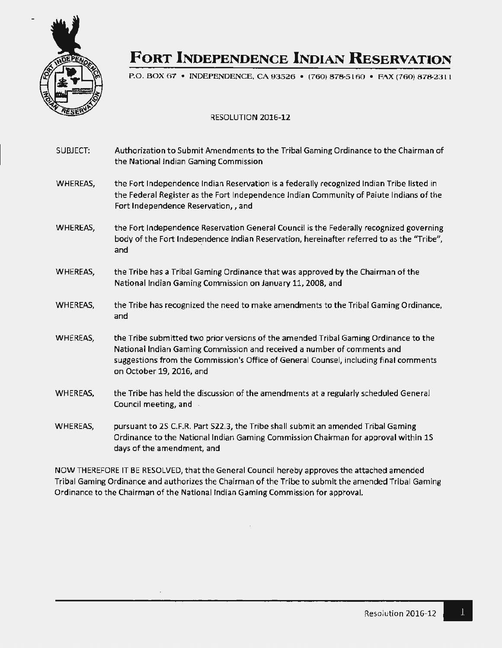

# **FORT INDEPENDENCE INDIAN RESERVATION**

P.O. BOX 67 • INDEPENDENCE, CA 93526 • (760) 878-5160 • FAX (760) 878-2311

#### RESOLUTION 2016-12

| SUBJECT: | Authorization to Submit Amendments to the Tribal Gaming Ordinance to the Chairman of<br>the National Indian Gaming Commission                                                                                                                                                        |
|----------|--------------------------------------------------------------------------------------------------------------------------------------------------------------------------------------------------------------------------------------------------------------------------------------|
| WHEREAS, | the Fort Independence Indian Reservation is a federally recognized Indian Tribe listed in<br>the Federal Register as the Fort Independence Indian Community of Paiute Indians of the<br>Fort Independence Reservation, , and                                                         |
| WHEREAS, | the Fort Independence Reservation General Council is the Federally recognized governing<br>body of the Fort Independence Indian Reservation, hereinafter referred to as the "Tribe",<br>and                                                                                          |
| WHEREAS, | the Tribe has a Tribal Gaming Ordinance that was approved by the Chairman of the<br>National Indian Gaming Commission on January 11, 2008, and                                                                                                                                       |
| WHEREAS, | the Tribe has recognized the need to make amendments to the Tribal Gaming Ordinance,<br>and                                                                                                                                                                                          |
| WHEREAS, | the Tribe submitted two prior versions of the amended Tribal Gaming Ordinance to the<br>National Indian Gaming Commission and received a number of comments and<br>suggestions from the Commission's Office of General Counsel, including final comments<br>on October 19, 2016, and |
| WHEREAS, | the Tribe has held the discussion of the amendments at a regularly scheduled General<br>Council meeting, and                                                                                                                                                                         |
| WHEREAS, | pursuant to 2S C.F.R. Part S22.3, the Tribe shall submit an amended Tribal Gaming<br>Ordinance to the National Indian Gaming Commission Chairman for approval within 1S<br>days of the amendment, and                                                                                |

NOW THEREFORE IT BE RESOLVED, that the General Council hereby approves the attached amended Tribal Gaming Ordinance and authorizes the Chairman of the Tribe to submit the amended Tribal Gaming Ordinance to the Chairman of the National Indian Gaming Commission for approval.

 $\cdot$ 

 $\mathbf{1}$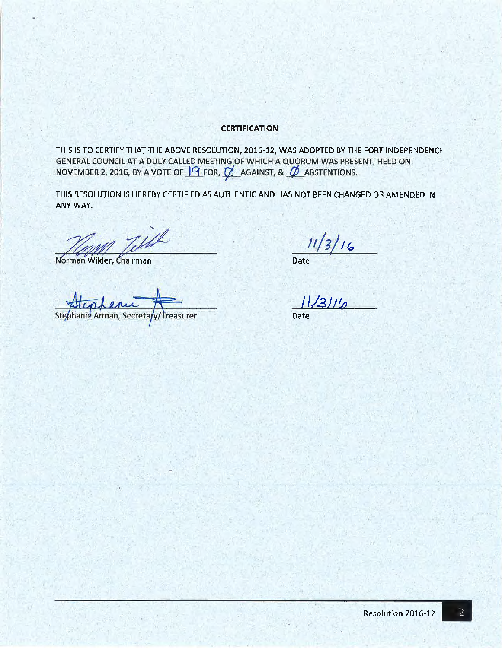#### **CERTIFICATION**

THIS IS TO CERTIFY THAT THE ABOVE RESOLUTION, 2016-12, WAS ADOPTED BY THE FORT INDEPENDENCE GENERAL COUNCIL AT A DULY CALLED MEETING OF WHICH A QUORUM WAS PRESENT, HELD ON NOVEMBER 2, 2016, BY A VOTE OF  $\frac{10}{10}$  FOR,  $\frac{10}{10}$  AGAINST, &  $\frac{10}{10}$  ABSTENTIONS.

THIS RESOLUTION IS HEREBY CERTIFIED AS AUTHENTIC AND HAS NOT BEEN CHANGED OR AMENDED IN ANYWAY.

Norman Wilder, Chairman

Steohanie Arman, Secreta treasurer

 $11/3/16$ Date

 $11/3116$ 

Date

 $\overline{2}$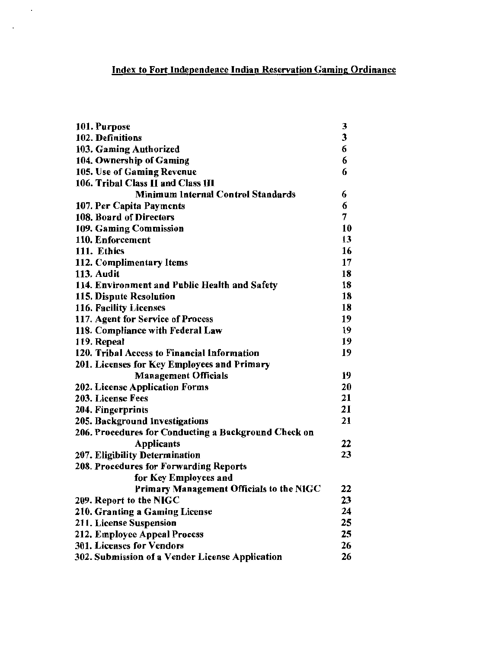# Index to Fort Independence Indian Reservation Gaming Ordinance

 $\ddot{\phantom{a}}$ 

 $\ddot{\phantom{a}}$ 

| 101. Purpose                                         | 3  |
|------------------------------------------------------|----|
| 102. Definitions                                     | 3  |
| 103. Gaming Authorized                               | 6  |
| 104. Ownership of Gaming                             | 6  |
| 105. Use of Gaming Revenue                           | 6  |
| 106. Tribal Class II and Class III                   |    |
| <b>Minimum Internal Control Standards</b>            | 6  |
| 107. Per Capita Payments                             | 6  |
| 108. Board of Directors                              | 7  |
| 109. Gaming Commission                               | 10 |
| 110. Enforcement                                     | 13 |
| 111. Ethics                                          | 16 |
| 112. Complimentary Items                             | 17 |
| 113. Audit                                           | 18 |
| 114. Environment and Public Health and Safety        | 18 |
| 115. Dispute Resolution                              | 18 |
| 116. Facility Licenses                               | 18 |
| 117. Agent for Service of Process                    | 19 |
| 118. Compliance with Federal Law                     | 19 |
| 119. Repeal                                          | 19 |
| 120. Tribal Access to Financial Information          | 19 |
| 201. Licenses for Key Employees and Primary          |    |
| <b>Management Officials</b>                          | 19 |
| 202. License Application Forms                       | 20 |
| 203. License Fees                                    | 21 |
| 204. Fingerprints                                    | 21 |
| 205. Background Investigations                       | 21 |
| 206. Procedures for Conducting a Background Check on |    |
| <b>Applicants</b>                                    | 22 |
| 207. Eligibility Determination                       | 23 |
| 208. Procedures for Forwarding Reports               |    |
| for Key Employees and                                |    |
| Primary Management Officials to the NIGC             | 22 |
| 209. Report to the NIGC                              | 23 |
| 210. Granting a Gaming License                       | 24 |
| 211. License Suspension                              |    |
| 212. Employee Appeal Process                         |    |
| 301. Licenses for Vendors                            |    |
| 302. Submission of a Vendor License Application      | 26 |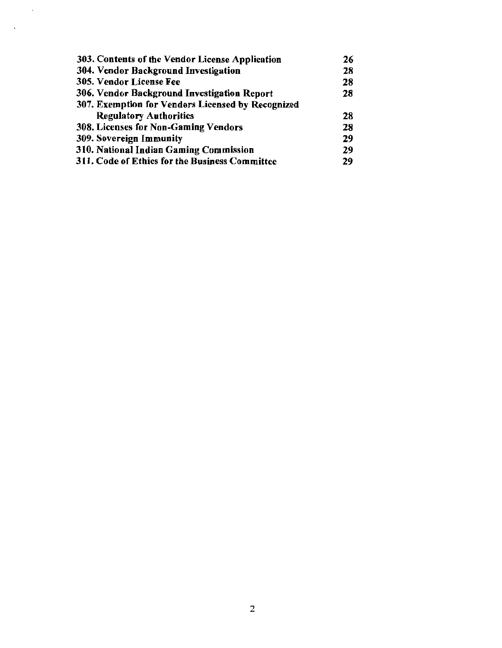| 303. Contents of the Vendor License Application   | 26 |
|---------------------------------------------------|----|
| 304. Vendor Background Investigation              | 28 |
| 305. Vendor License Fee                           | 28 |
| 306. Vendor Background Investigation Report       | 28 |
| 307. Exemption for Vendors Licensed by Recognized |    |
| <b>Regulatory Authorities</b>                     | 28 |
| <b>308. Licenses for Non-Gaming Vendors</b>       |    |
| 309. Sovereign Immunity                           | 29 |
| 310. National Indian Gaming Commission            | 29 |
| 311. Code of Ethics for the Business Committee    | 29 |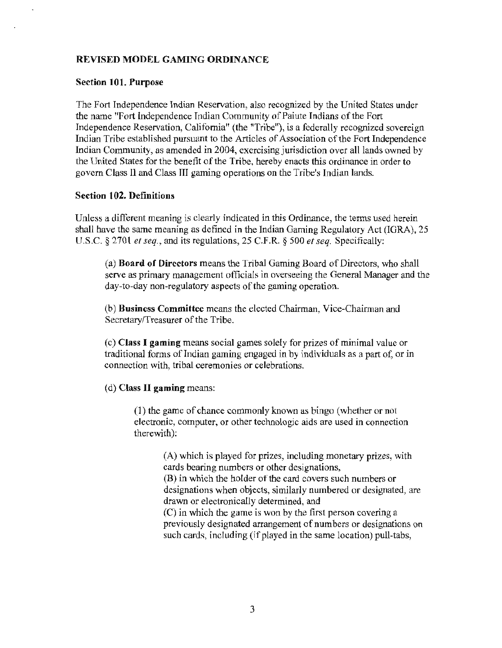# REVISED MODEL GAMING ORDINANCE

#### Section 101. Purpose

The Fort Independence Indian Reservation, also recognized by the United States under the name "Fort independence Indian Community of Paiute Indians of the Fort Independence Reservation, California" (the "Tribe"), is a federally recognized sovereign Indian Tribe established pursuant to the Articles of Association of the Fort Independence Indian Community, as amended in 2004, exercising jurisdiction over all lands owned by the United States for the benefit of the Tribe, hereby enacts this ordinance in order to govern Class II and Class TII gaming operations on the Tribe's Indian lands.

#### Section 102. Definitions

Unless a different meaning is clearly indicated in this Ordinance, the terms used herein shall have the same meaning as defined in the Indian Gaming Regulatory Act (IGRA), 25 U.S.C. § 2701 *et seq.,* and its regulations, 25 C.F.R. § 500 *et seq.* Specifically:

(a) Board of Directors means the Tribal Gaming Board of Directors, who shall serve as primary management officials in overseeing the General Manager and the day-to-day non-regulatory aspects of the gaming operation.

(b) Business Committee means the elected Chairman, Vice-Chairman and Secretary/Treasurer of the Tribe.

( c) Class I gaming means social games solely for prizes of minimal value or traditional forms of Indian gaming engaged in by individuals as a part of, or in connection with, tribal ceremonies or celebrations.

(d) Class II gaming means:

(1) the game of chance commonly known as bingo (whether or not electronic, computer, or other technologic aids are used in connection therewith):

> (A) which is played for prizes, including monetary prizes, with cards bearing numbers or other designations, (B) in which the holder of the card covers such numbers or designations when objects, similarly numbered or designated, are drawn or electronically determined, and (C) in which the game is won by the first person covering a previously designated arrangement of numbers or designations on such cards, including (if played in the same location) pull-tabs,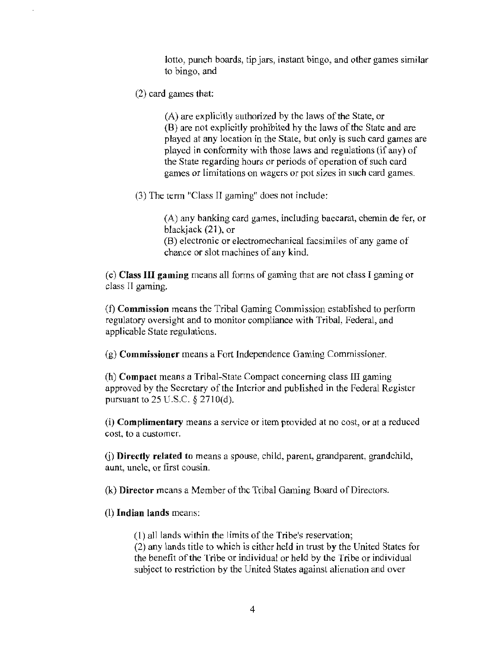lotto, punch boards, tip jars, instant bingo, and other games similar to bingo, and

(2) card games that:

(A) are explicitly authorized by the laws of the State, or (B) are not explicitly prohibited by the laws of the State and are played at any location in the State, but only is such card games are played in conformity with those laws and regulations (if any) of the State regarding hours or periods of operation of such card games or limitations on wagers or pot sizes in such card games.

(3) The term "Class II gaming" does not include:

(A) any banking card games, including baccarat, chemin de fer, or blackjack (21), or (B) electronic or electromechanical facsimiles of any game of chance or slot machines of any kind.

( e) Class III gaming means all fotms of gaming that are not class I gaming or class II gaming.

(f) Commission means the Tribal Gaming Commission established to perform regulatory oversight and to monitor compliance with Tribal, Federal, and applicable State regulations.

(g) Commissioner means a Fort Independence Gaming Commissioner.

(h) Compact means a Tribal-State Compact concerning class III gaming approved by the Secretary of the Interior and published in the Federal Register pursuant to 25 U.S.C. *§* 271 O(d).

(i) Complimentary means a service or item provided at no cost, or at a reduced cost, to a customer.

(j) Directly related to means a spouse, child, parent, grandparent, grandchild, aunt, uncle, or first cousin.

(k) Director means a Member of the Tribal Gaming Board of Directors.

(l) Indian lands means:

(1) all lands within the limits of the Tribe's reservation; (2) any lands title to which is either held in trust by the United States for the benefit of the Tribe or individual or held by the Tribe or individual subject to restriction by the United States against alienation and over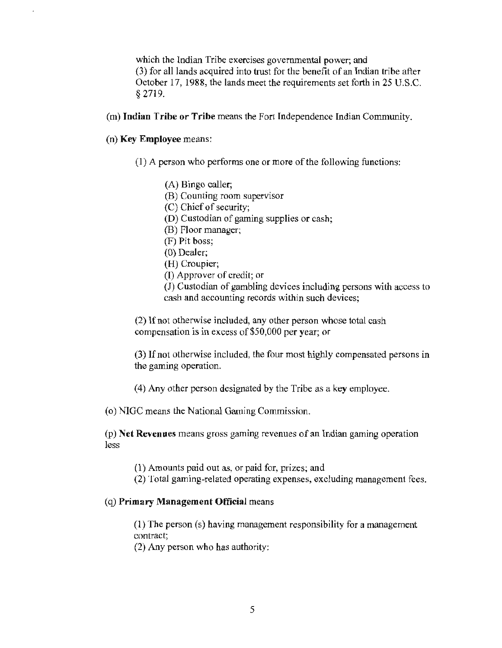which the Indian Tribe exercises governmental power; and (3) for all lands acquired into trust for the benefit of an Indian tribe after October 17, 1988, the lands meet the requirements set forth in 25 U.S.C. § 2719.

(m) Indian Tribe or Tribe means the Fort Independence Indian Community.

(n) Key Employee means:

- (I) A person who performs one or more of the following functions:
	- (A) Bingo caller;
	- (B) Counting room supervisor
	- (C) Chief of security;
	- (D) Custodian of gaming supplies or cash;
	- (B) Floor manager;
	- (F) Pit boss;
	- (0) Dealer;
	- (H) Croupier;
	- (I) Approver of credit; or

(J) Custodian of gambling devices including persons with access to cash and accounting records within such devices;

(2) If not otherwise included, any other person whose total cash compensation is in excess of \$50,000 per year; or

(3) If not otherwise included, the four most highly compensated persons in the gaming operation.

(4) Any other person designated by the Tribe as a key employee.

(o) NIGC means the National Gaming Commission.

(p) Net Revenues means gross gaming revenues of an Indian gaming operation less

( 1) Amounts paid out as, or paid for, prizes; and

(2) Total gaming-related operating expenses, excluding management fees.

#### ( q) Primary Management Official means

(1) The person (s) having management responsibility for a management contract;

(2) Any person who has authority: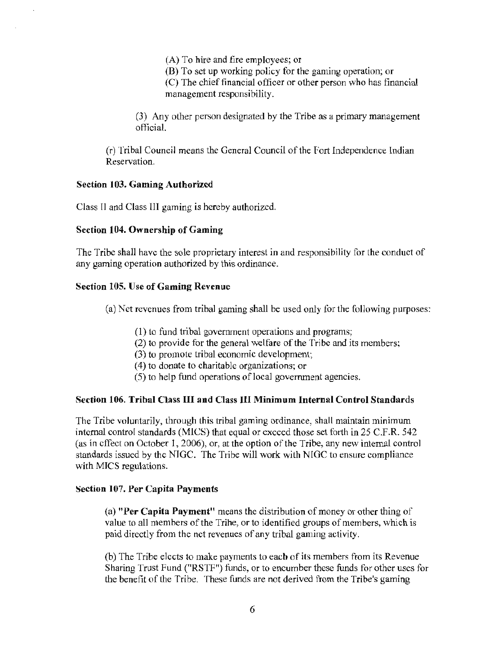(A) To hire and fire employees; or (B) To set up working policy for the gaming operation; or (C) The chief financial officer or other person who has financial management responsibility.

(3) Any other person designated by the Tribe as a primary management official.

(r) Tribal Council means the General Council of the Fort Independence Indian Reservation.

#### Section 103. Gaming Authorized

Class II and Class III gaming is hereby authorized.

#### Section 104. Ownership of Gaming

The Tribe shall have the sole proprietary interest in and responsibility for the conduct of any gaming operation authorized by this ordinance.

#### Section 105. Use of Gaming Revenue

(a) Net revenues from tribal gaming shall be used only for the following purposes:

- ( 1) to fund tribal government operations and programs;
- (2) to provide for the general welfare of the Tribe and its members;
- (3) to promote tribal economic development;
- $(4)$  to donate to charitable organizations; or
- (5) to help fund operations oflocal government agencies.

#### Section 106. Tribal Class III and Class III Minimum Internal Control Standards

The Tribe voluntarily, through this tribal gaming ordinance, shall maintain minimum internal control standards (MlCS) that equal or exceed those set forth in 25 C.F.R. 542 (as in effect on October I, 2006), or, at the option of the Tribe, any new internal control standards issued by the NIGC. The Tribe will work with NIGC to ensure compliance with MICS regulations.

#### Section 107. Per Capita Payments

(a) "Per Capita Payment" means the distribution of money or other thing of value to all members of the Tribe, or to identified groups of members, which is paid directly from the net revenues of any tribal gaming activity.

(b) The Tribe elects to make payments to each of its members from its Revenue Sharing Trust Fund ("RSTF") funds, or to encumber these funds for other uses for the benefit of the Tribe. These funds are not derived from the Tribe's gaming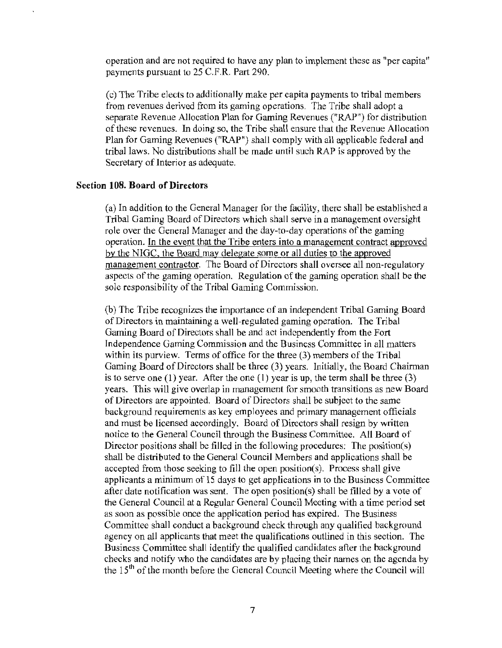operation and are not required to have any plan to implement these as "per capita" payments pursuant to 25 C.F.R. Part 290.

(c) The Tribe elects to additionally make per capita payments to tribal members from revenues derived from its gaming operations. The Tribe shall adopt a separate Revenue Allocation Plan for Gaming Revenues ("RAP") for distribution of these revenues. In doing so, the Tribe shall ensure that the Revenue Allocation Plan for Gaming Revenues ("RAP") shall comply with all applicable federal and tribal laws. No distributions shall be made until such RAP is approved by the Secretary of Interior as adequate.

#### Section 108. Board of Directors

(a) In addition to the General Manager for the facility, there shall be established a Tribal Gaming Board of Directors which shall serve in a management oversight role over the General Manager and the day-to-day operations of the gaming operation. In the event that the Tribe enters into a management contract approved by the NIGC, the Board may delegate some or all duties to the approved management contractor. The Board of Directors shall oversee all non-regulatory aspects of the gaming operation. Regulation of the gaming operation shall be the sole responsibility of the Tribal Gaming Commission.

(b) The Tribe recognizes the importance of an independent Tribal Gaming Board of Directors in maintaining a well-regulated gaming operation. The Tribal Gaming Board of Directors shall be and act independently from the Fort Independence Gaming Commission and the Business Committee in all matters within its purview. Terms of office for the three (3) members of the Tribal Gaming Board of Directors shall be three (3) years. Initially, the Board Chairman is to serve one (1) year. After the one (1) year is up, the term shall be three  $(3)$ years. This will give overlap in management for smooth transitions as new Board of Directors are appointed. Board of Directors shall be subject to the same background requirements as key employees and primary management officials and must be licensed accordingly. Board of Directors shall resign by written notice to the General Council through the Business Committee. All Board of Director positions shall be filled in the following procedures: The position(s) shall be distributed to the General Council Members and applications shall be accepted from those seeking to fill the open position(s). Process shall give applicants a minimum of 15 days to get applications in to the Business Committee after date notification was sent. The open position(s) shall be filled by a vote of the General Council at a Regular General Council Meeting with a time period set as soon as possible once the application period has expired. The Business Committee shall conduct a background check through any qualified background agency on all applicants that meet the qualifications outlined in this section. The Business Committee shall identify the qualified candidates after the background checks and notify who the candidates are by placing their names on the agenda by the 15<sup>th</sup> of the month before the General Council Meeting where the Council will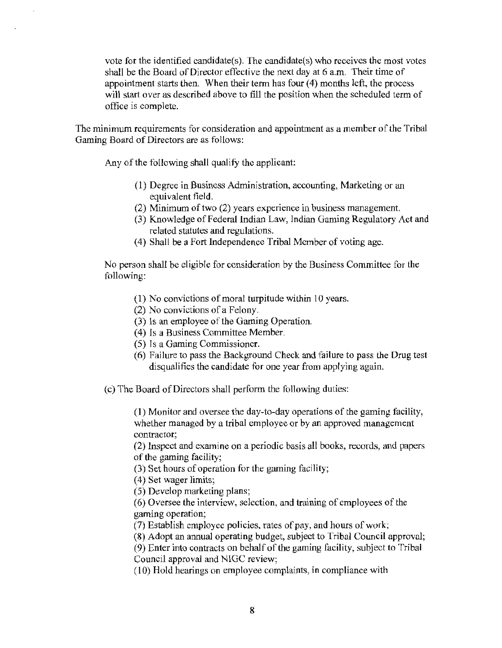vote for the identified candidate(s). The candidate(s) who receives the most votes shall be the Board of Director effective the next day at 6 a.m. Their time of appointment starts then. When their term has four  $(4)$  months left, the process will start over as described above to fill the position when the scheduled term of office is complete.

The minimum requirements for consideration and appointment as a member of the Tribal Gaming Board of Directors are as follows:

Any of the following shall qualify the applicant:

- (1) Degree in Business Administration, accounting, Marketing or an equivalent field.
- (2) Minimum of two (2) years experience in business management.
- (3) Knowledge of Federal Indian Law, Indian Gaming Regulatory Act and related statutes and regulations.
- (4) Shall be a Fort Independence Tribal Member of voting age.

No person shall be eligible for consideration by the Business Committee for the following:

- ( 1) No convictions of moral turpitude within 10 years.
- (2) No convictions of a Felony.
- (3) Is an employee of the Gaming Operation.
- (4) ls a Business Committee Member.
- (5) Ts a Gaming Commissioner.
- (6) Failure to pass the Background Check and failure to pass the Drug test disqualifies the candidate for one year from applying again.
- (c) The Board of Directors shall perform the following duties:

(1) Monitor and oversee the day-to-day operations of the gaming facility, whether managed by a tribal employee or by an approved management contractor;

(2) Inspect and examine on a periodic basis all books, records, and papers of the gaming facility;

(3) Set hours of operation for the gaming facility;

- ( 4) Set wager limits;
- (5) Develop marketing plans;

(6) Oversee the interview, selection, and training of employees of the gaming operation;

(7) Establish employee policies, rates of pay, and hours of work;

(8) Adopt an annual operating budget, subject to Tribal Council approval;

(9) Enter into contracts on behalf of the gaming facility, subject to Tribal Council approval and NIGC review;

(10) Hold hearings on employee complaints, in compliance with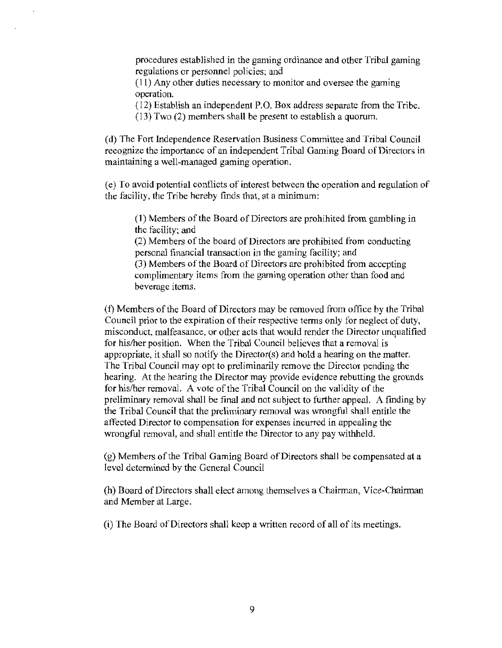procedures established in the gaming ordinance and other Tribal gaming regulations or personnel policies; and

(11) Any other duties necessary to monitor and oversee the gaming operation.

(12) Establish an independent P.O. Box address separate from the Tribe. (13) Two (2) members shall be present to establish a quorum.

(d) The Fort Independence Reservation Business Committee and Tribal Council recognize the importance of an independent Tribal Gaming Board of Directors in maintaining a well-managed gaming operation.

(e) To avoid potential conflicts of interest between the operation and regulation of the facility, the Tribe hereby finds that, at a minimum:

(1) Members of the Board of Directors are prohibited from gambling in the facility; and

(2) Members of the board of Directors are prohibited from conducting personal financial transaction in the gaming facility; and

(3) Members of the Board of Directors are prohibited from accepting complimentary items from the gaming operation other than food and beverage items.

(f) Members of the Board of Directors may be removed from office by the Tribal Council prior to the expiration of their respective terms only for neglect of duty, misconduct, malfeasance, or other acts that would render the Director unqualified for his/her position. When the Tribal Council believes that a removal is appropriate, it shall so notify the Director(s) and hold a hearing on the matter. The Tribal Council may opt to preliminarily remove the Director pending the hearing. At the bearing the Director may provide evidence rebutting the grounds for his/her removal. A vote of the Tribal Council on the validity of the preliminary removal shall be final and not subject to further appeal. A finding by the Tribal Council that the preliminary removal was wrongful shall entitle the affected Director to compensation for expenses incurred in appealing the wrongful removal, and shall entitle the Director to any pay withheld.

(g) Members of the Tribal Gaming Board of Directors shall be compensated at a level determined by the General Council

(h) Board of Directors shall elect among themselves a Chairman, Vice-Chairman and Member at Large.

(i) The Board of Directors shall keep a written record of all of its meetings.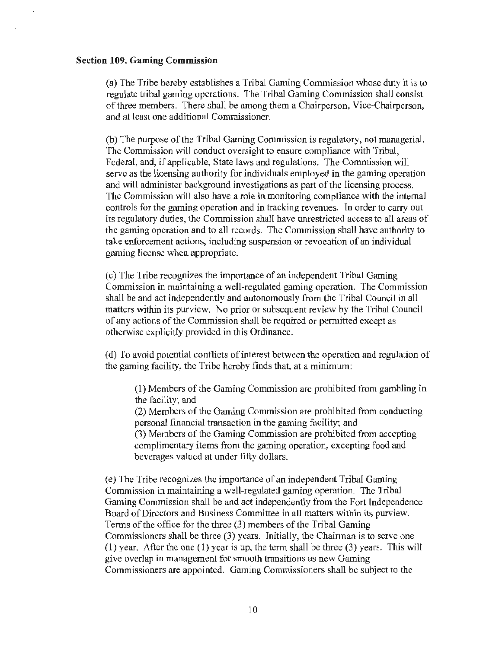#### **Section 109. Gaming Commission**

(a) The Tribe hereby establishes a Tribal Gaming Commission whose duty it is to regulate tribal gaming operations. The Tribal Gaming Commission shall consist of three members. There shall be among them a Chairperson, Vice-Chairperson, and at least one additional Commissioner.

(b) The purpose of the Tribal Gaming Commission is regulatory, not managerial. The Commission will conduct oversight to ensure compliance with Tribal, Federal, and, if applicable, State laws and regulations. The Commission will serve as the licensing authority for individuals employed in the gaming operation and will administer background investigations as part of the licensing process. The Commission will also have a role in monitoring compliance with the internal controls for the gaming operation and in tracking revenues. In order to carry out its regulatory duties, the Commission shall have unrestricted access to all areas of the gaming operation and to all records. The Commission shall have authority to take enforcement actions, including suspension or revocation of an individual gaming license when appropriate.

(c) The Tribe recognizes the importance of an independent Tribal Gaming Commission in maintaining a well-regulated gaming operation. The Commission shall be and act independently and autonomously from the Tribal Council in all matters within its purview. No prior or subsequent review by the Tribal Council of any actions of the Commission shall be required or permitted except as otherwise explicitly provided in this Ordinance.

(d) To avoid potential conflicts of interest between the operation and regulation of the gaming facility, the Tribe hereby finds that, at a minimum:

(1) Members of the Gaming Commission arc prohibited from gambling in the facility; and

(2) Members of the Gaming Commission are prohibited from conducting personal financial transaction in the gaming facility; and (3) Members of the Gaming Commission are prohibited from accepting. complimentary items from the gaming operation, excepting food and beverages valued at under fifty dollars.

(e) The Tribe recognizes the importance of an independent Tribal Gaming Commission in maintaining a well-regulated gaming operation. The Tribal Gaming Commission shall be and act independently from the Fort Jndependence Board of Directors and Business Committee in all matters within its purview. Terms of the office for the three (3) members of the Tribal Gaming Commissioners shall be three  $(3)$  years. Initially, the Chairman is to serve one  $(1)$  year. After the one  $(1)$  year is up, the term shall be three  $(3)$  years. This will give overlap in management for smooth transitions as new Gaming Commissioners are appointed. Gaming Commissioners shall be subject to the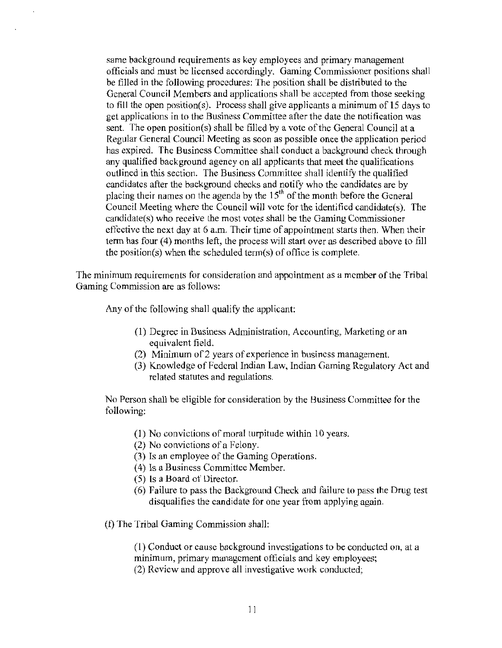same background requirements as key employees and primary management officials and must be licensed accordingly. Gaming Commissioner positions shall be filled in the following procedures: The position shall be distributed to the General Council Members and applications shall be accepted from those seeking to fill the open position(s). Process shall give applicants a minimum of 15 days to get applications in to the Business Committee after the date the notification was sent. The open position(s) shall be filled by a vote of the General Council at a Regular General Council Meeting as soon as possible once the application period has expired. The Business Committee shall conduct a background check through any qualified background agency on all applicants that meet the qualifications outlined in this section. The Business Committee shall identify the qualified candidates after the background checks and notify who the candidates are by placing their names on the agenda by the  $15<sup>th</sup>$  of the month before the General Council Meeting where the Council will vote for the identified candidate(s). The candidate( s) who receive the most votes shall be the Gaming Commissioner effective the next day at 6 a.m. Their time of appointment starts then. When their term has four (4) months left, the process will start over as described above to fill the position(s) when the scheduled terrn(s) of office is complete.

The minimum requirements for consideration and appointment as a member of the Tribal Gaming Commission are as follows:

Any of the following shall qualify the applicant:

- (1) Degree in Business Administration, Accounting, Marketing or an equivalent field.
- (2) Minimum of 2 years of experience in business management.
- (3) Knowledge of Federal Indian Law, Indian Gaming Regulatory Act and related statutes and regulations.

No Person shall be eligible for consideration by the Business Committee for the following:

- $(1)$  No convictions of moral turpitude within 10 years.
- (2) No convictions of a Felony.
- (3) Is an employee of the Gaming Operations.
- (4) ls a Business Committee Member.
- (5) ls a Board of Director.
- (6) Failure to pass the Background Check and failure to pass the Drug test disqualifies the candidate for one year from applying again.
- (£) The Tribal Gaming Commission shall:

( 1) Conduct or cause background investigations to be conducted on, at a minimum, primary management officials and key employees; (2) Review and approve all investigative work conducted;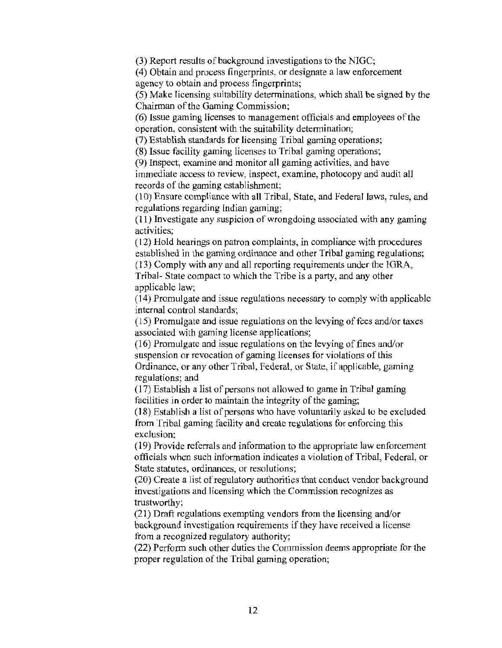(3) Report results of background investigations to the NIGC;

( 4) Obtain and process fingerprints, or designate a law enforcement agency to obtain and process fingerprints;

(5) Make licensing suitability determinations, which shall be signed by the Chairman of the Gaming Commission;

(6) Issue gaming licenses to management officials and employees of the operation, consistent with the suitability determination;

(7) Establish standards for licensing Tribal gaming operations;

(8) Issue facility gaming licenses to Tribal gaming operations;

(9) Inspect, examine and monitor all gaming activities, and have

immediate access to review, inspect, examine, photocopy and audit all records of the gaming establishment;

(10) Ensure compliance with all Tribal, State, and Federal laws, rules, and regulations regarding Indian gaming;

(11) Investigate any suspicion of wrongdoing associated with any gaming activities;

(12) Hold hearings on patron complaints, in compliance with procedures established in the gaming ordinance and other Tribal gaming regulations;

( 13) Comply with any and all reporting requirements under the IGRA, Tribal- State compact to which the Tribe is a party, and any other applicable law:

(14) Promulgate and issue regulations necessary to comply with applicable internal control standards;

 $(15)$  Promulgate and issue regulations on the levying of fees and/or taxes associated with gaming license applications;

(16) Promulgate and issue regulations on the levying of fines and/or suspension or revocation of gaming licenses for violations of this Ordinance, or any other Tribal, Federal, or State, if applicable, gaming regulations; and

(17) Establish a list of persons not allowed to game in Tribal gaming facilities in order to maintain the integrity of the gaming;

 $(18)$  Establish a list of persons who have voluntarily asked to be excluded from Tribal gaming facility and creale regulations for enforcing this exclusion;

(19) Provide referrals and information to the appropriate law enforcement officials when such information indicates a violation of Tribal, Federal, or State statutes, ordinances, or resolutions;

(20) Create a list of regulatory authorities that conduct vendor background investigations and licensing which the Commission recognizes as trustworthy;

(2 1) Draft regulations exempting vendors from the licensing and/or background investigation requirements if they have received a license from a recognized regulatory authority;

(22) Perform such other duties the Commission deems appropriate for the proper regulation of the Tribal gaming operation;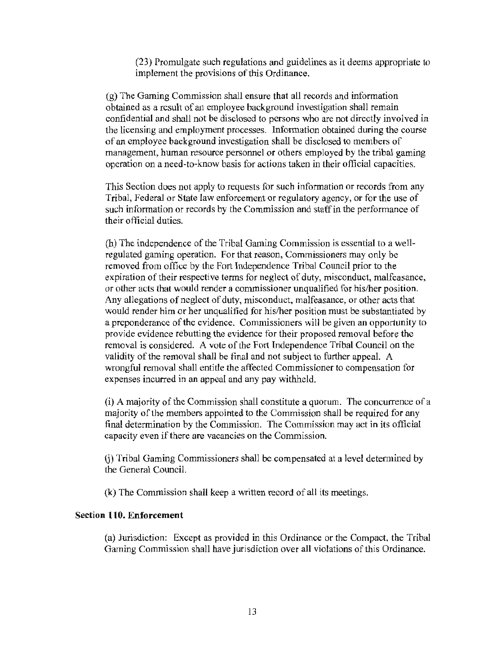(23) Promulgate such regulations and guidelines as it deems appropriate to implement the provisions of this Ordinance.

 $(g)$  The Gaming Commission shall ensure that all records and information obtained as a result of an employee background investigation shall remain confidential and shall not be disclosed to persons who are not directly involved in the licensing and employment processes. Information obtained during the course of an employee background investigation shall be disclosed to members of management, hwnan resource personnel or others employed by the tribal gaming operation on a need-to-know basis for actions taken in their official capacities.

This Section does not apply to requests for such information or records from any Tribal, Federal or State law enforcement or regulatory agency, or for the use of such information or records by the Commission and staff in the performance of their official duties.

(h) The independence of the Tribal Gaming Commission is essential to a wellregulated gaming operation. For that reason, Commissioners may only be removed from office by the Fort Independence Tribal Council prior to the expiration of their respective terms for neglect of duty, misconduct, malfeasance, or other acts that would render a commissioner unqualified for his/her position. Any allegations of neglect of duty, misconduct, malfeasance, or other acts that would render him or her unqualified for his/her position must be substantiated by a preponderance of the evidence. Commissioners will be given an opportunity to provide evidence rebutting the evidence for their proposed removal before the removal is considered. A vote of the Fort Independence Tribal Council on the validity of the removal shall be final and not subject to further appeal. A wrongful removal shall entitle the affected Commissioner to compensation for expenses incurred in *an* appeal and any pay withheld.

(i) A majority of the Commission shall constitute a quorum. The concurrence of a majority of the members appointed to the Commission shall be required for any final determination by the Commission. The Commission may act in its official capacity even if there are vacancies on the Commission.

G) Tribal Gaming Commissioners shall be compensated at a level determined by the General Council.

(k) The Commission shall keep a written record of all its meetings.

#### Section 110. Enforcement

(a) Jurisdiction: Except as provided in this Ordinance or the Compact, the Tribal Gaming Commission shall have jurisdiction over all violations of this Ordinance.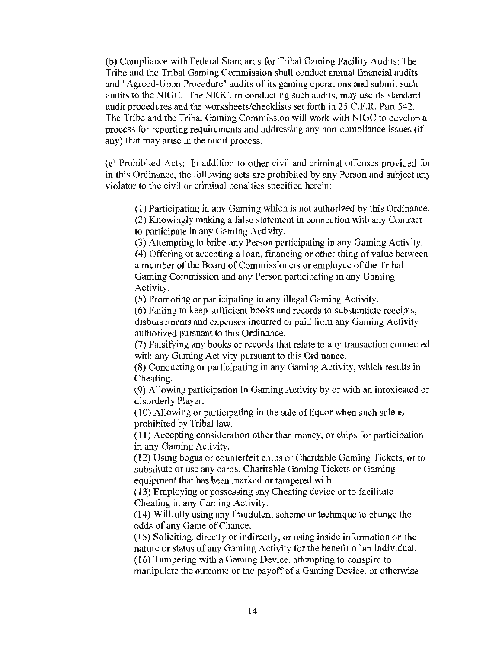(b) Compliance with Federal Standards for Tribal Gaming Facility Audits: The Tribe and the Tribal Gaming Commission shall conduct annual financial audits and "Agreed-Upon Procedure" audits of its gaming operations and submit such audits to the NIGC. The NIGC, in conducting such audits, may use its standard audit procedures and the worksheets/checklists set forth in 25 C.F.R. Part 542. The Tribe and the Tribal Gaming Commission will work with NIGC to develop a process for reporting requirements and addressing any non-compliance issues (if any) that may arise in the audit process.

(c) Prohibited Acts: In addition to other civil and criminal offenses provided for in this Ordinance, the following acts are prohibited by any Person and subject any violator to the civil or criminal penalties specified herein:

( l) Participating in any Gaming which is not authorized by this Ordinance.

(2) Knowingly making a false statement in connection with any Contract to participate in any Gaming Activity.

(3) Attempting to bribe any Person participating in any Gaming Activity. (4) Offering or accepting a loan, financing or other thing of value between a member of the Board of Commissioners or employee of the Tribal Gaming Commission and any Person participating in any Gaming Activity.

(5) Promoting or participating in any illegal Gaming Activity.

(6) Failing to keep sufficient books and records to substantiate receipts, disbursements and expenses incurred or paid from any Gaming Activity authorized pursuant to this Ordinance.

(7) Falsifying any books or records that relate to any transaction connected with any Gaming Activity pursuant to this Ordinance.

(8) Conducting or participating in any Gaming Activity, which results in Cheating.

(9) Allowing participation in Gaming Activity by or with an intoxicated or disorderly Player.

 $(10)$  Allowing or participating in the sale of liquor when such sale is prohibited by Tribal law.

( 11 ) Accepting consideration other than money, or chips for participation in any Gaming Activity.

 $(12)$  Using bogus or counterfeit chips or Charitable Gaming Tickets, or to substitute or use any cards, Charitable Gaming Tickets or Gaming equipment that has been marked or tampered with.

( 13) Employing or possessing any Cheating device or to facilitate Cheating in any Gaming Activity.

(14) Willfully using any fraudulent scheme or technique to change the odds of any Game of Chance.

( 15) Soliciting, directly or indirectly, or using inside information on the nature or status of any Gaming Activity for the benefit of an individual.

(16) Tampering with a Gaming Device, attempting to conspire to manipulate the outcome or the payoff of a Gaming Device, or otherwise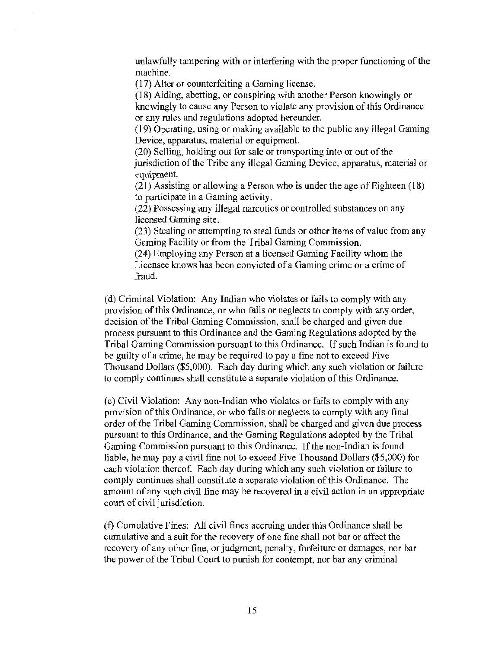unlawfully tampering with or interfering with the proper functioning of the machine.

(17) Alter or counterfeiting a Gaming license.

(18) Aiding, abetting, or conspiring with another Person knowingly or knowingly to cause any Person to violate any provision of this Ordinance or any rules and regulations adopted hereunder.

( 19) Operating, using or making available to the public any illegal Gaming Device, apparatus, material or equipment.

(20) Selling, holding out for sale or transporting into or out of the jurisdiction of the Tribe any illegal Gaming Device, apparatus, material or equipment.

(21) Assisting or allowing a Person who is under the age of Eighteen  $(18)$ to participate in a Gaming activity.

(22) Possessing any illegal narcotics or controlled substances on any licensed Gaming site.

(23) Stealing or attempting to steal funds or other items of value from any Gaming Facility or from the Tribal Gaming Commission.

(24) Employing any Person at a licensed Gaming Facility whom the Licensee knows has been convicted of a Gaming crime or a crime of fraud.

(d) Criminal Violation: Any Indian who violates or fails to comply with any provision of this Ordinance, or who fails or neglects to comply with any order, decision of the Tribal Gaming Commission, shall be charged and given due process pursuant to this Ordinance and the Gaming Regulations adopted by the Tribal Gaming Commission pursuant to this Ordinance. If such Indian is found to be guilty of a crime, he may be required to pay a fine not to exceed Five Thousand Dollars (\$5,000). Each day during which any such violation or failure to comply continues shall constitute a separate violation of this Ordinance.

(e) Civil Violation: Any non-Indian who violates or fails to comply with any provision of this Ordinance, or who fails or neglects to comply with any final order of the Tribal Gaming Commission, shall be charged and given due process pursuant to this Ordinance, and the Gaming Regulations adopted by the Tribal Gaming Commission pursuant to this Ordinance. lf the non-Indian is found liable, he may pay a civil fine not to exceed Five Thousand Dollars (\$5,000) for each violation thereof. Each day during which any such violation or failure to comply continues shall constitute a separate violation of this Ordinance. The amount of any such civil fine may be recovered in a civil action in an appropriate court of civil jurisdiction.

(f) Cumulative Fines: All civil fines accruing under this Ordinance shall be cumulative and a suit for the recovery of one fine shall not bar or affect the recovery of any other fine, or judgment, penalty, forfeiture or damages, nor bar the power of the Tribal Court to punish for contempt, nor bar any criminal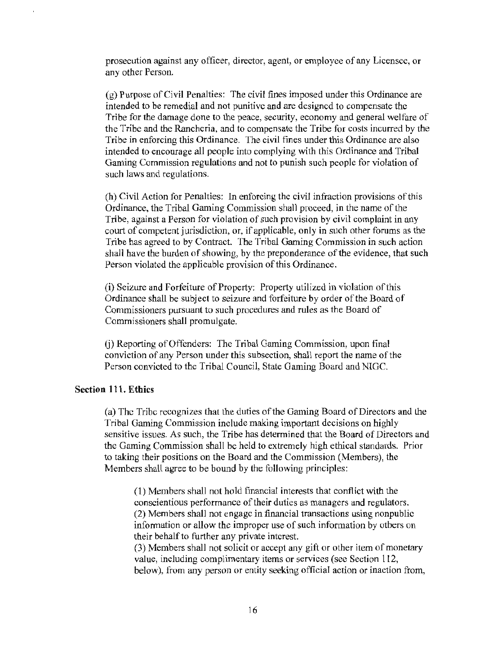prosecution against any officer, director, agent, or employee of any Licensee, or any other Person.

(g) Purpose of Civil Penalties: The civil fines imposed under this Ordinance are intended to be remedial and not punitive and are designed to compensate the Tribe for the damage done to the peace, security, economy and general welfare of the Tribe and the Rancheria, and to compensate the Tribe for costs incurred by the Tribe in enforcing this Ordinance. The civil fines under this Ordinance are also intended to encourage all people into complying with this Ordinance and Tribal Gaming Commission regulations and not to punish such people for violation of such laws and regulations.

(h) Civil Action for Penalties: In enforcing the civil infraction provisions of this Ordinance, the Tribal Gaming Commission shall proceed, in the name of the Tribe, against a Person for violation of such provision by civil complaint in any court of competent jurisdiction, or, if applicable, only in such other forums as the Tribe has agreed to by Contract. The Tribal Gaming Commission in such action shall have the burden of showing, by the preponderance of the evidence, that such Person violated the applicable provision of this Ordinance.

(i) Seizure and Forfeiture of Property: Property utilized in violation of this Ordinance shall be subject to seizure and forfeiture by order of the Board of Commissioners pursuant to such procedures and rules as the Board of Commissioners shall promulgate.

(j) Reporting of Offenders: The Tribal Gaming Commission, upon final conviction of any Person under this subsection, shall report the name of the Person convicted to the Tribal Council, State Gaming Board and NIGC.

#### Section **111.** Ethics

(a) The Tribe recognizes that the duties of the Gaming Board of Directors and the Tribal Gaming Commission include making important decisions on highly sensitive issues. As such, the Tribe has determined that the Board of Directors and the Gaming Commission shall be held to extremely high ethical standards. Prior to taking their positions on the Board and the Commission (Members), the Members shall agree to be bound by the following principles:

(1) Members shall not hold financial interests that conflict with the conscientious performance of their duties as managers and regulators. (2) Members shall not engage in financial transactions using nonpublic information or allow the improper use of such information by others on their behalf to further any private interest.

(3) Members shall not solicit or accept any gift or other item of monetary value, including complimentary items or services (see Section 112, below), from any person or entity seeking official action or inaction from,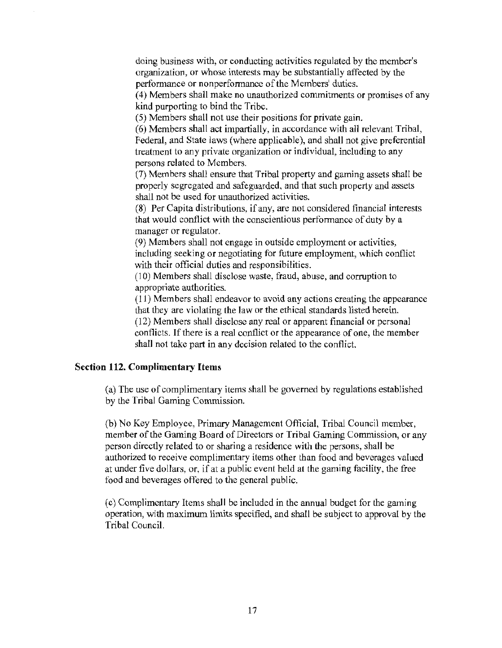doing business with, or conducting activities regulated by the member's organization, or whose interests may be substantially affected by the performance or nonperformance of the Members' duties.

( 4) Members shall make no unauthorized commitments or promises of any kind purporting to bind the Tribe.

(5) Members shall not use their positions for private gain.

(6) Members shall act impartially, in accordance with all relevant Tribal, Federal, and State laws (where applicable), and shall not give preferential treatment to any private organization or individual, including to any persons related to Members.

(7) Members shall ensure that Tribal property and gaming assets shall be properly segregated and safeguarded, and that such property and assets shall not be used for unauthorized activities.

(8) Per Capita distributions, if any, are not considered financial interests that would conflict with the conscientious performance of duty by a manager or regulator.

(9) Members shall not engage in outside employment or activities, including seeking or negotiating for future employment, which conflict with their official duties and responsibilities.

(10) Members shall disclose waste, fraud, abuse, and conuption to appropriate authorities.

(11) Members shall endeavor to avoid any actions creating the appearance that they are violating the law or the ethical standards listed herein. (12) Members shall disclose any real or apparent financial or personal conflicts. If there is a real conflict or the appearance of one, the member shall not take part in any decision related to the conflict.

#### Section 112. Complimentary Items

(a) The use of complimentary items shall be governed by regulations established by the Tribal Gaming Commission.

(b) No Key Employee, Primary Management Official, Tribal Council member, member of the Gaming Board of Directors or Tribal Gaming Commission, or any person directly related to or sharing a residence with the persons, shall be authorized to receive complimentary items other than food and beverages valued at under five dollars, or, if at a public event held at the gaming facility, the free food and beverages offered to the general public.

( c) Complimentary Items shall be included in the annual budget for the gaming operation, with maximum limits specified, and shall be subject to approval by the Tribal Council.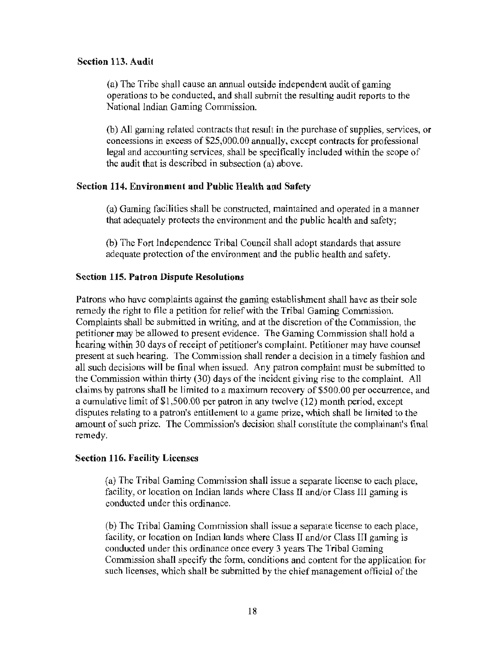#### Section 113. Audit

(a) The Tribe shall cause an annual outside independent audit of gaming operations to be conducted, and shalJ submit the resulting audit reports to the National Indian Gaming Commission.

(b) All gaming related contracts that result in the purchase of supplies, services, or concessions in excess of \$25,000.00 annually, except contracts for professional legal and accounting services, shall be specifically included within the scope of the audit that is described in subsection (a) above.

# Section 114. Environment and Public Health and Safety

(a) Gaming facilities shall be constructed, maintained and operated in a manner that adequately protects the environment and the public health and safety;

(b) The Fort Independence Tribal Council shall adopt standards that assure adequate protection of the environment and the public health and safety.

# Section 115. Patron Dispute Resolutions

Patrons who have complaints against the gaming establishment shall have as their sole remedy the right to file a petition for relief with the Tribal Gaming Commission. Complaints shall be submitted in writing, and at the discretion of the Commission, the petitioner may be allowed to present evidence. The Gaming Commission shall hold a hearing within 30 days of receipt of petitioner's complaint. Petitioner may have counsel present at such hearing. The Commission shall render a decision in a timely fashion and all such decisions will be final when issued. Any patron complaint must be submitted to the Commission within thirty (30) days of the incident giving rise to the complaint. All claims by patrons shall be limited to a maximum recovery of \$500.00 per occurrence, and a cumulative limit of\$1,500.00 per patron in any twelve (12) month period, except disputes relating to a patron's entitlement to a game prize, which shall be limited to the amount of such prize. The Commission's decision shall constitute the complainant's final remedy.

# Section 116. Facility Licenses

(a) The Tribal Gaming Commission shall issue a separate license to each place, facility, or location on Indian lands where Class II and/or Class III gaming is conducted under this ordinance.

(b) The Tribal Gaming Commission shall issue a separate license to each place, facility, or location on Indian lands where Class II and/or Class III gaming is conducted under this ordinance once every 3 years The Tribal Gaming Commission shall specify the form, conditions and content for the application for such licenses, which shall be submitted by the chief management official of the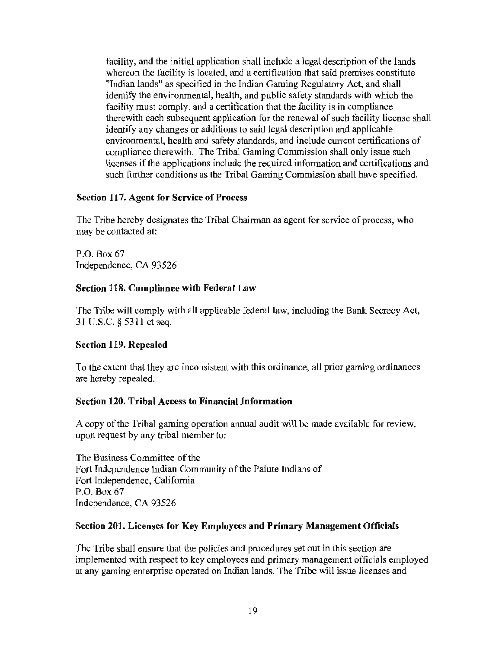facility, and the initial application shall include a legal description of the lands whereon the facility is located, and a certification that said premises constitute "Indian lands" as specified in the Indian Gaming Regulatory Act, and shall identify the environmental, health, and public safety standards with which the facility must comply, and a certification that the facility is in compliance therewith each subsequent application for the renewal of such facility license shall identify any changes or additions to said legal description and applicable environmental, health and safety standards, and include current certifications of compliance therewith. The Tribal Gaming Commission shall only issue such licenses if the applications include the required information and certifications and such further conditions as the Tribal Gaming Commission shall have specified.

#### Section 117. Agent for Service of Process

The Tribe hereby designates the Tribal Chairman as agent for service of process, who may be contacted at:

P.O. Box 67 Independence, CA 93526

#### Section 118. Compliance with Federal Law

The Tribe will comply with all applicable federal law, including the Bank Secrecy Act, 31 U.S.C. *§* 5311 et seq.

#### Section 119. Repealed

To the extent that they are inconsistent with this ordinance, all prior gaming ordinances are hereby repealed.

#### Section 120. Tribal Access to Financial Information

A copy of the Tribal gaming operation annual audit will be made available for review, upon request by any tribal member to:

The Business Committee of the Fort Independence Indian Community of the Paiute Indians of Fort Independence, California P.O. Box 67 Independence, CA 93526

#### Section 201. Licenses for Key Employees and Primary Management Officials

The Tribe shall ensure that the policies and procedures set out in this section are implemented with respect to key employees and primary management officials employed at any gaming enterprise operated on Indian lands. The Tribe will issue licenses and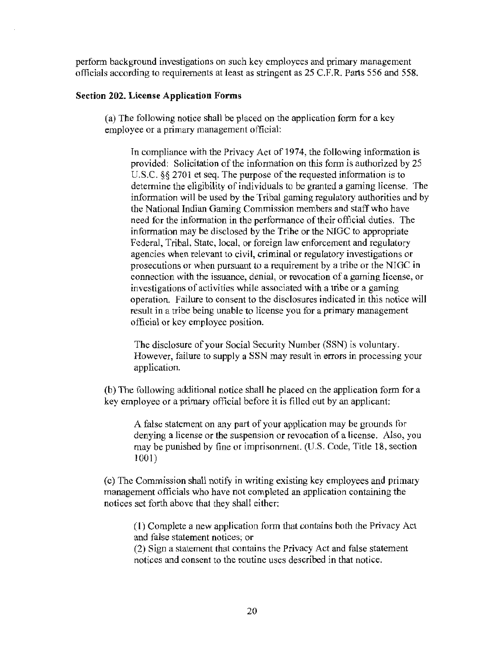perfonn background investigations on such key employees and primary management officials according to requirements at least as stringent as 25 C.F.R. Parts 556 and 558.

#### **Section 202. License Application Forms**

(a) The following notice shall be placed on the application fonn for a key employee or a primary management official:

In compliance with the Privacy Act of 1974, the following information is provided: Solicitation of the information on this form is authorized by 25 U.S.C. §§ 2701 et seq. The purpose of the requested information is to detennine the eligibility of individuals to be granted a gaming license. The information will be used by the Tribal gaming regulatory authorities and by the National Indian Gaming Commission members and staff who have need for the information in the performance of their official duties. The information may be disclosed by the Tribe or the NIGC to appropriate Federal, Tribal, State, local, or foreign law enforcement and regulatory agencies when relevant to civil, criminal or regulatory investigations or prosecutions or when pursuant to a requirement by a tribe or the NIGC in connection with the issuance, denial, or revocation of a gaming license, or investigations of activities while associated with a tribe or a gaming operation. Failure to consent to the disclosures indicated in this notice will result in a tribe being unable to license you for a primary management official or key employee position.

The disclosure of your Social Security Number (SSN) is voluntary. However, failure to supply a SSN may result in errors in processing your application.

(b) The following additional notice shall be placed on the application fonn for a key employee or a primary official before it is filled out by an applicant:

A false statement on any part of your application may be grounds for denying a license or the suspension or revocation of a license. Also, you may be punished by fine or imprisonment. (U.S. Code, Title 18, section 1001)

(c) The Commission shall notify in writing existing key employees and primary management officials who have not completed an application containing the notices set forth above that they shall either:

(I) Complete a new application form that contains both the Privacy Act and false statement notices; or

(2) Sign a statement that contains the Privacy Act and false statement notices and consent to the routine uses described in that notice.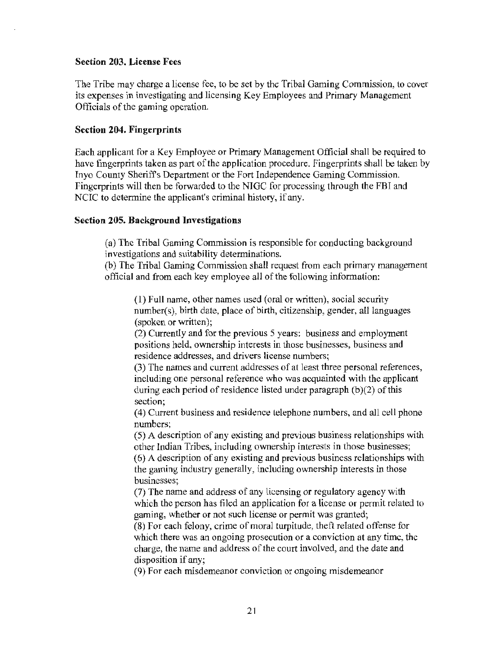#### Section 203. License Fees

The Tribe may charge a license fee, to be set by the Tribal Gaming Commission, to cover its expenses in investigating and licensing Key Employees and Primary Management Officials of the gaming operation.

#### Section 204. Fingerprints

Each applicant for a Key Employee or Primary Management Official shall be required to have fingerprints taken as part of the application procedure. Fingerprints shall be taken by Inyo County Sheriff's Department or the Fort Independence Gaming Commission. Fingerprints will then be forwarded to the NIGC for processing through the FBI and NCIC to determine the applicant's criminal history, if any.

#### Section 205. Background Investigations

(a) The Tribal Gaming Commission is responsible for conducting background investigations and suitability determinations.

(b) The Tribal Gaming Commission shall request from each primary management official and from each key employee all of the following information:

(1) Full name, other names used (oral or written), social security  $number(s)$ , birth date, place of birth, citizenship, gender, all languages (spoken or written);

(2) Currently and for the previous 5 years: business and employment positions held, ownership interests in those businesses, business and residence addresses, and drivers license numbers;

(3) The names and current addresses of at least three personal references, including one personal reference who was acquainted with the applicant during each period of residence listed under paragraph  $(b)(2)$  of this section;

(4) Current business and residence telephone numbers, and all cell phone numbers;

(5) A description of any existing and previous business relationships with other Indian Tribes, including ownership interests in those businesses; (6) A description of any existing and previous business relationships with the gaming industry generally, including ownership interests in those businesses;

(7) The name and address of any licensing or regulatory agency with which the person has filed an application for a license or permit related to gaming, whether or not such license or permit was granted;

(8) For each felony, crime of moral turpitude, theft related offense for which there was an ongoing prosecution or a conviction at any time, the charge, the name and address of the court involved, and the date and disposition if any;

(9) For each misdemeanor conviction or ongoing misdemeanor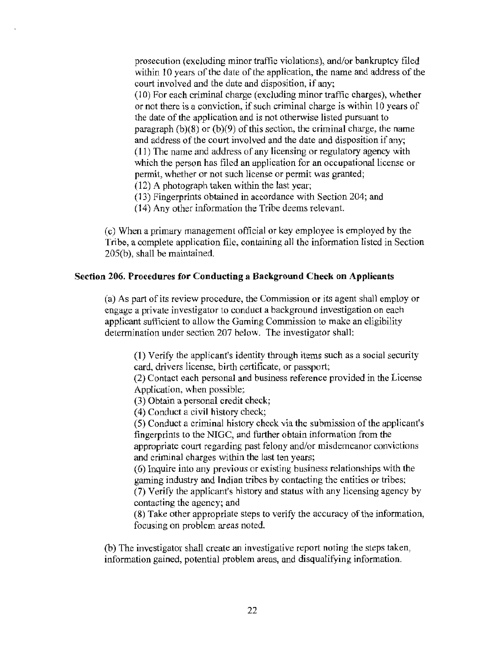prosecution (excluding minor traffic violations), and/or bankruptcy filed within 10 years of the date of the application, the name and address of the court involved and the date and disposition, if any;

 $(10)$  For each criminal charge (excluding minor traffic charges), whether or not there is a conviction, if such criminal charge is within 10 years of the date of the application and is not otherwise listed pursuant to paragraph  $(b)(8)$  or  $(b)(9)$  of this section, the criminal charge, the name and address of the court involved and the date and disposition if any; ( 11) The name and address of any licensing or regulatory agency with which the person has filed an application for an occupational license or permit, whether or not such license or permit was granted;

(12) A photograph taken within the last year;

(13) Fingerprints obtained in accordance with Section 204; and

(14) Any other information the Tribe deems relevant.

(c) When a primary management official or key employee is employed by the Tribe, a complete application file, containing all the information listed in Section  $205(b)$ , shall be maintained.

# Section 206. Procedures for Conducting a Background Check on Applicants

(a) As part of its review procedure, the Commission or its agent shall employ or engage a private investigator to conduct a background investigation on each applicant sufficient to allow the Gaming Commission to make an eligibility determination under section 207 below. The investigator shall:

(1) Verify the applicant's identity through items such as a social security card, drivers license, birth certificate, or passport;

(2) Contact each personal and business reference provided in the License Application, when possible;

(3) Obtain a personal credit check;

(4) Conduct a civil history check;

(5) Conduct a criminal history check via the submission of the applicant's fingerprints to the NIGC, and further obtain information from the appropriate court regarding past felony and/or misdemeanor convictions and criminal charges within the last ten years;

(6) Inquire into any previous or existing business relationships with the gaming industry and Indian tribes by contacting the entities or tribes; (7) Verify the applicant's history and status with any licensing agency by contacting the agency; and

(8) Take other appropriate steps to verify the accuracy of the information, focusing on problem areas noted.

(b) The investigator shall create an investigative report noting the steps taken, information gained, potential problem areas, and disqualifying information.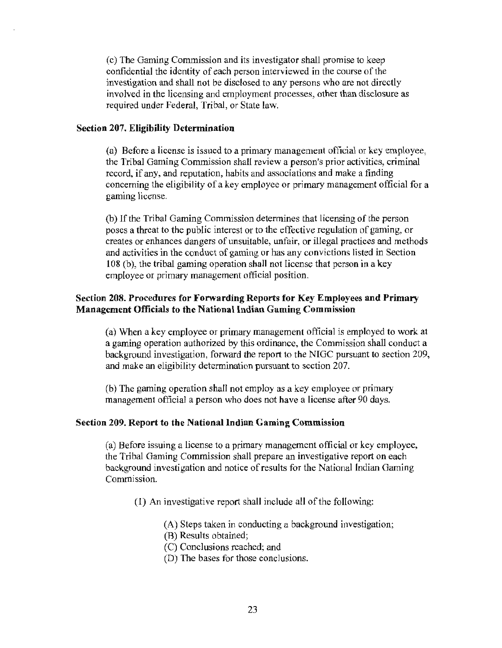(c) The Gaming Commission and its investigator shall promise to keep confidential the identity of each person interviewed in the course of the investigation and shall not be disclosed to any persons who are not directly involved in the licensing and employment processes, other than disclosure as required under Federal, Tribal, or State law.

#### Section 207. Eligibility Determination

(a) Before a license is issued to a primary management official or key employee, the Tribal Gaming Commission shall review a person's prior activities, criminal record, if any, and reputation, habits and associations and make a finding concerning the eligibility of a key employee or primary management official for a gaming license.

(b) lfthe Tribal Gaming Commission determines that licensing of the person poses a threat to the public interest or to the effective regulation of gaming, or creates or enhances dangers of unsuitable, unfair, or illegal practices and methods and activities in the conduct of gaming or has any convictions listed in Section 108 (b), the tribal gaming operation shall not license that person in a key employee or primary management official position.

# Section 208. Procedures for Forwarding Reports for Key Employees and Primary Management Officials to the National Indian Gaming Commission

(a) When a key employee or primary management official is employed to work at a gaming operation authorized by this ordinance, the Commission shall conduct a background investigation, forward the report to the NIGC pursuant to section 209, and make an eligibility determination pursuant to section 207.

(b) The gaming operation shall not employ as a key employee or primary management official a person who does not have a license after 90 days.

#### Section 209. Report to the National Indian Gaming Commission

(a) Before issuing a license to a primary management official or key employee, the Tribal Gaming Commission shall prepare an investigative report on each background investigation and notice of results for the National Indian Gaming Commission.

- (1) An investigative report shall include all of the following:
	- (A) Steps taken in conducting a background investigation;
	- (R) Results obtained;
	- (C) Conclusions reached; and
	- (D) The bases for those conclusions.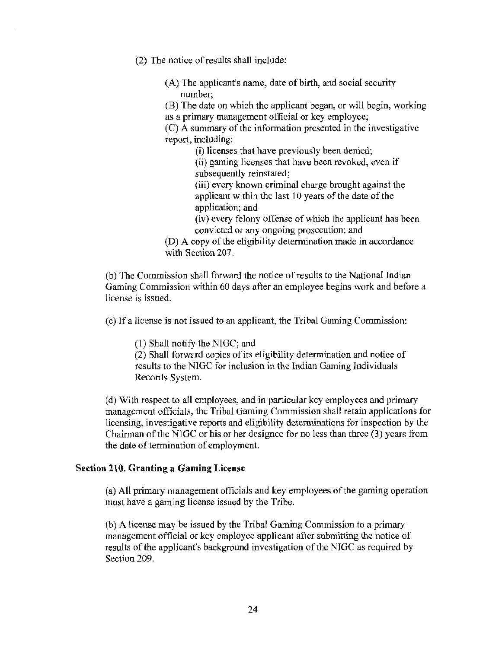(2) The notice of results shall include:

(A) The applicant's name, date of birth, and social security number;

(B) The date on which the applicant began, or will begin, working as a primary management official or key employee;

(C) A summary of the information presented in the investigative report, including:

> (i) licenses that have previously been denied; (ii) gaming licenses that have been revoked, even if

subsequently reinstated;

(iii) every known criminal charge brought against the applicant within the last 10 years of the date of the application; and

(iv) every felony offense of which the applicant has been convicted or any ongoing prosecution; and

(D) A copy of the eligibility determination made in accordance with Section 207.

(b) The Commission shall forward the notice of results to the National Indian Gaming Commission within 60 days after an employee begins work and before a license is issued.

( c) If a license is not issued to an applicant, the Tribal Gaming Commission:

(l) Shall notify the NIGC; and

(2) Shall forward copies of its eligibility determination and notice of results to the NIGC for inclusion in the Indian Gaming Individuals Records System.

(d) With respect to all employees, and in particular key employees and primary management officials, the Tribal Gaming Commission shall retain applications for licensing, investigative reports and eligibility determinations for inspection by the Chairman of the NIGC or his or her designee for no less than three (3) years from the date of termination of employment.

#### Section 210. Granting a Gaming License

(a) All primary management officials and key employees of the gaming operation must have a gaming license issued by the Tribe.

(b) A license may be issued by the Tribal Gaming Commission to a primary management official or key employee applicant after submitting the notice of results of the applicant's background investigation of the NIGC as required by Section 209.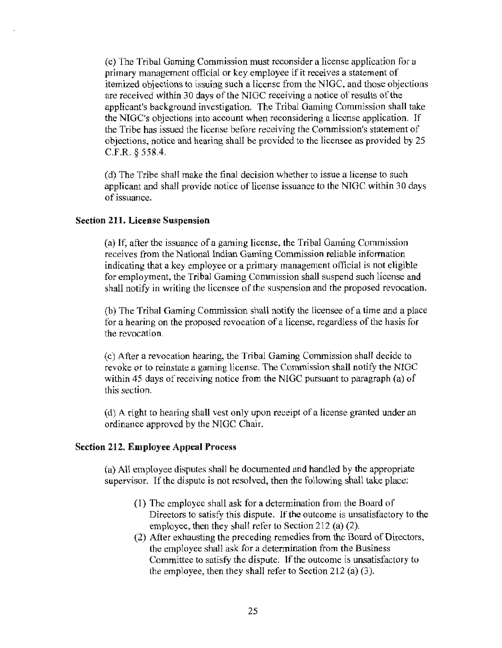(c) The Tribal Gaming Commission must reconsider a license application for a primary management official or key employee if it receives a statement of itemized objections to issuing such a license from the NIGC, and those objections are received within 30 days of the NIGC receiving a notice of results of the applicant's background investigation. The Tribal Gaming Commission shall take the NIGC's objections into account when reconsidering a license application. If the Tribe has issued the license before receiving the Commission's statement of objections, notice and hearing shall be provided to the licensee as provided by 25 C.F.R. *§* 558.4.

(d) The Tribe shall make the final decision whether to issue a license to such applicant and shall provide notice of license issuance to the NIGC within 30 days of issuance.

#### Section 211. License Suspension

(a) If, after the issuance of a gaming license, the Tribal Gaming Commission receives from the National Indian Gaming Commission reliable information indicating that a key employee or a primary management official is not eligible for employment, the Tribal Gaming Commission shall suspend such license and shall notify in writing the licensee of the suspension and the proposed revocation.

(b) The Tribal Gaming Commission shall notify the licensee of a time and a place for a hearing on the proposed revocation of a license, regardless of the basis for the revocation.

( c) After a revocation hearing, the Tribal Gaming Commission shall decide to revoke or to reinstate a gaming license. The Commission shall notify the NIGC within 45 days of receiving notice from the NIGC pursuant to paragraph (a) of this section.

( d) A right to hearing shall vest only upon receipt of a license granted under an ordinance approved by the NIGC Chair.

#### Section 212. Employee Appeal Process

(a) All employee disputes shall be documented and handled by the appropriate supervisor. If the dispute is not resolved, then the following shall take place:

- ( 1) The employee shall ask for a determination from the Board of Directors to satisfy this dispute. If the outcome is unsatisfactory to the employee, then they shall refer to Section 212 (a) (2).
- (2) After exhausting the preceding remedies from the Board of Directors, the employee shall ask for a determination from the Business Committee to satisfy the dispute. If the outcome is unsatisfactory to the employee, then they shall refer to Section 212 (a) (3).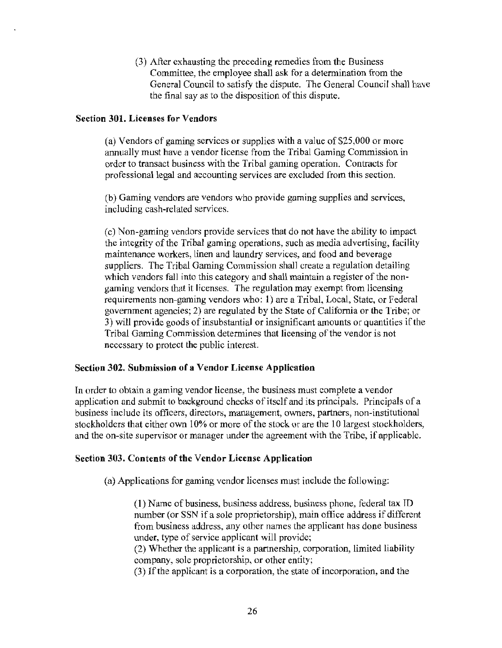(3) After exhausting the preceding remedies from the Business Committee, the employee shall ask for a determination from the General Council to satisfy the dispute. The General Council shall have the final say as to the disposition of this dispute.

#### Section 301. Licenses for Vendors

(a) Vendors of gaming services or supplies with a value of \$25,000 or more annually must have a vendor license from the Tribal Gaming Commission in order to transact business with the Tribal gaming operation. Contracts for professional legal and accounting services are excluded from this section.

(b) Gaming vendors are vendors who provide gaming supplies and services, including cash-related services.

(c) Non-gaming vendors provide services that do not have the ability to impact the integrity of the Tribal gaming operations, such as media advertising, facility maintenance workers, linen and laundry services, and food and beverage suppliers. The Tribal Gaming Commission shall create a regulation detailing which vendors fall into this category and shall maintain a register of the nongaming vendors that it licenses. The regulation may exempt from licensing requirements non-gaming vendors who: l) are a Tribal, Local, State, or Federal government agencies; 2) are regulated by the State of California or the Tribe; or 3) will provide goods of insubstantial or insignificant amounts or quantities if the Tribal Gaming Commission determines that licensing of the vendor is not necessary to protect the public interest.

#### Section 302. Submission of a Vendor License Application

In order to obtain a gaming vendor license, the business must complete a vendor application and submit to background checks of itself and its principals. Principals of a business include its officers, directors, management, owners, partners, non-institutional stockholders that either own 10% or more of the stock or are the 10 largest stockholders, and the on-site supervisor or manager under the agreement with the Tribe, if applicable.

#### Section 303. Contents of the Vendor License Application

(a) Applications for gaming vendor licenses must include the following:

(1) Name of business, business address, business phone, federal tax ID number (or SSN if a sole proprietorship), main oflice address if different from business address, any other names the applicant has done business under, type of service applicant will provide;

(2) Whether the applicant is a partnership, corporation, limited liability company, sole proprietorship, or other entity;

(3) If the applicant is a corporation, the state of incorporation, and the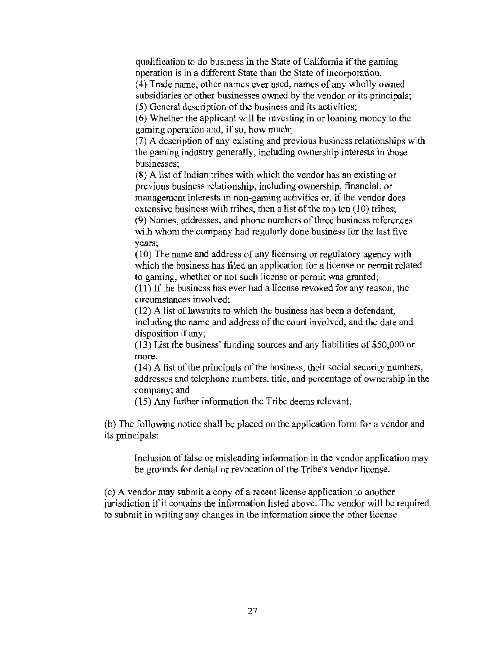qualification to do business in the State of California if the gaming operation is in a different State than the State of incorporation.

( 4) Trade name, other names ever used, names of any wholly owned subsidiaries or other businesses owned by the vendor or its principals; (5) General description of the business and its activities;

(6) Whether the applicant will be investing in or loaning money to the gaming operation and, if so, how much;

(7) A description of any existing and previous business relationships with the gaming industry generally, including ownership interests in those businesses;

 $(8)$  A list of Indian tribes with which the vendor has an existing or previous business relationship, including ownership, financial, or management interests in non-gaming activities or, if the vendor does extensive business with tribes, then a list of the top ten (10) tribes; (9) Names, addresses, and phone numbers of three business references with whom the company had regularly done business for the last five years;

( 10) The name and address of any licensing or regulatory agency with which the business has filed an application for a license or permit related to gaming, whether or not such license or permit was granted;

(11) If the business has ever had a license revoked for any reason, the circumstances involved;

( 12) A list of lawsuits to which the business has been a defendant, including the name and address of the court involved, and the date and disposition if any;

(13) List the business' funding sources and any liabilities of \$50,000 or more.

( 14) A list of the principals of the business, their social security numbers, addresses and telephone numbers, title, and percentage of ownership in the company; and

(15) Any further information the Tribe deems relevant.

(b) The following notice shall be placed on the application form for a vendor and its principals:

Inclusion of false or misleading infonnation in the vendor application may be grounds for denial or revocation of the Tribe's vendor license.

( c) A vendor may submit a copy of a recent license application to another jurisdiction if it contains the information listed above. The vendor will be required to submit in writing any changes in the information since the other license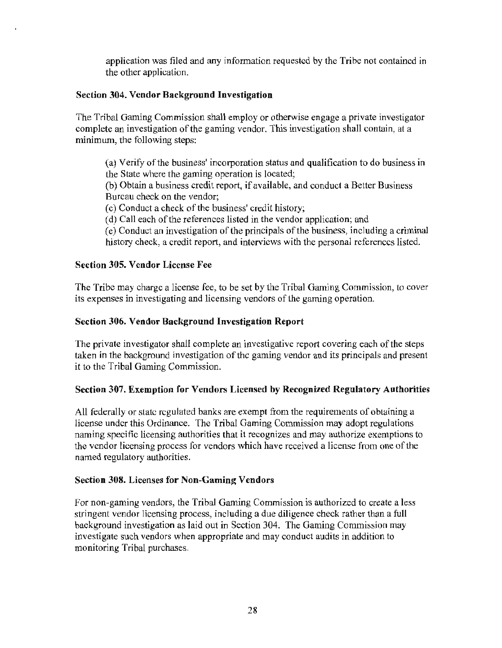application was filed and any information requested by the Tribe not contained in the other application.

# Section 304. Vendor Background Investigation

The Tribal Gaming Commission shall employ or otherwise engage a private investigator complete an investigation of the gaming vendor. This investigation shall contain, at a minimum, the following steps:

(a) Verify of the business' incorporation status and qualification to do business in the State where the gaming operation is located;

(b) Obtain a business credit report, if available, and conduct a Better Business Bureau check on the vendor;

(c) Conduct a check of the business' credit history;

(d) Call each of the references listed in the vendor application; and

(e) Conduct an investigation of the principals of the business, including a criminal history check, a credit report, and interviews with the personal references listed.

# Section 305. Vendor License Fee

The Tribe may charge a license fee, to be set by the Tribal Gaming Commission, to cover its expenses in investigating and licensing vendors of the gaming operation.

# Section 306. Vendor Background Investigation Report

The private investigator shall complete an investigative report covering each of the steps taken in the background investigation of the gaming vendor and its principals and present it to the Tribal Gaming Commission.

# Section 307. Exemption for Vendors Licensed by Recognized Regulatory Authorities

All federally or state regulated banks are exempt from the requirements of obtaining a license under this Ordinance. The Tribal Gaming Commission may adopt regulations naming specific licensing authorities that it recognizes and may authorize exemptions to the vendor licensing process for vendors which have received a license from one of the named regulatory authorities.

#### Section 308. Licenses for Non-Gaming Vendors

For non-gaming vendors, the Tribal Gaming Commission is authorized to create a less stringent vendor licensing process, including a due diligence check rather than a full background investigation as laid out in Section 304. The Gaming Commission may investigate such vendors when appropriate and may conduct audits in addition to monitoring Tribal purchases.